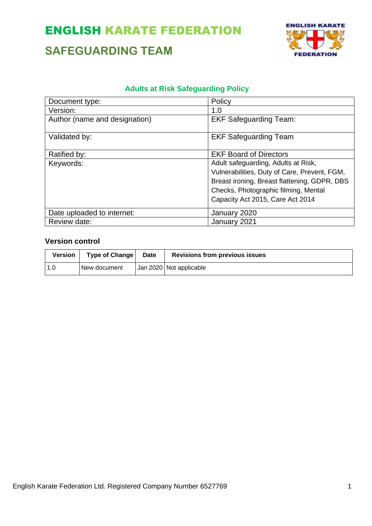### **SAFEGUARDING TEAM**



#### **Adults at Risk Safeguarding Policy**

| Document type:                | Policy                                       |
|-------------------------------|----------------------------------------------|
| Version:                      | 1.0                                          |
| Author (name and designation) | <b>EKF Safeguarding Team:</b>                |
| Validated by:                 | <b>EKF Safeguarding Team</b>                 |
| Ratified by:                  | <b>EKF Board of Directors</b>                |
| Keywords:                     | Adult safeguarding, Adults at Risk,          |
|                               | Vulnerabilities, Duty of Care, Prevent, FGM, |
|                               | Breast ironing, Breast flattening, GDPR, DBS |
|                               | Checks, Photographic filming, Mental         |
|                               | Capacity Act 2015, Care Act 2014             |
| Date uploaded to internet:    | January 2020                                 |
| Review date:                  | January 2021                                 |

#### **Version control**

| Version | Type of Change | Date | <b>Revisions from previous issues</b> |
|---------|----------------|------|---------------------------------------|
| 1.0     | New document   |      | Jan 2020 Not applicable               |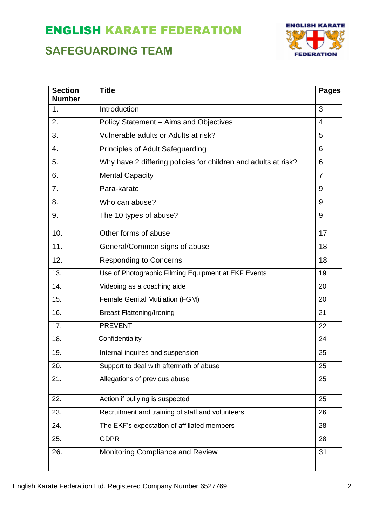### **SAFEGUARDING TEAM**



| <b>Section</b><br><b>Number</b> | <b>Title</b>                                                   | <b>Pages</b>   |
|---------------------------------|----------------------------------------------------------------|----------------|
| 1.                              | Introduction                                                   | 3              |
| 2.                              | Policy Statement - Aims and Objectives                         | $\overline{4}$ |
| 3.                              | Vulnerable adults or Adults at risk?                           | 5              |
| 4.                              | Principles of Adult Safeguarding                               | 6              |
| 5.                              | Why have 2 differing policies for children and adults at risk? | 6              |
| 6.                              | <b>Mental Capacity</b>                                         | $\overline{7}$ |
| 7.                              | Para-karate                                                    | 9              |
| 8.                              | Who can abuse?                                                 | 9              |
| 9.                              | The 10 types of abuse?                                         | 9              |
| 10.                             | Other forms of abuse                                           | 17             |
| 11.                             | General/Common signs of abuse                                  | 18             |
| 12.                             | <b>Responding to Concerns</b>                                  | 18             |
| 13.                             | Use of Photographic Filming Equipment at EKF Events            |                |
| 14.                             | Videoing as a coaching aide                                    | 20             |
| 15.                             | <b>Female Genital Mutilation (FGM)</b>                         | 20             |
| 16.                             | <b>Breast Flattening/Ironing</b>                               | 21             |
| 17.                             | <b>PREVENT</b>                                                 | 22             |
| 18.                             | Confidentiality                                                | 24             |
| 19.                             | Internal inquires and suspension                               | 25             |
| 20.                             | Support to deal with aftermath of abuse                        | 25             |
| 21.                             | Allegations of previous abuse                                  | 25             |
| 22.                             | Action if bullying is suspected                                | 25             |
| 23.                             | Recruitment and training of staff and volunteers               | 26             |
| 24.                             | The EKF's expectation of affiliated members                    | 28             |
| 25.                             | <b>GDPR</b>                                                    | 28             |
| 26.                             | Monitoring Compliance and Review                               | 31             |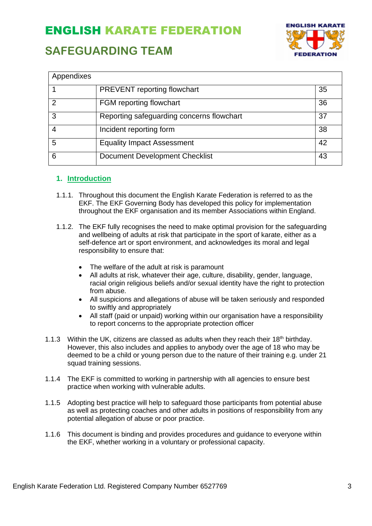### **SAFEGUARDING TEAM**



| Appendixes |                                           |    |
|------------|-------------------------------------------|----|
|            | PREVENT reporting flowchart               | 35 |
| າ          | FGM reporting flowchart                   | 36 |
| 3          | Reporting safeguarding concerns flowchart | 37 |
|            | Incident reporting form                   | 38 |
| 5          | <b>Equality Impact Assessment</b>         | 42 |
| 6          | <b>Document Development Checklist</b>     | 43 |

#### **1. Introduction**

- 1.1.1. Throughout this document the English Karate Federation is referred to as the EKF. The EKF Governing Body has developed this policy for implementation throughout the EKF organisation and its member Associations within England.
- 1.1.2. The EKF fully recognises the need to make optimal provision for the safeguarding and wellbeing of adults at risk that participate in the sport of karate, either as a self-defence art or sport environment, and acknowledges its moral and legal responsibility to ensure that:
	- The welfare of the adult at risk is paramount
	- All adults at risk, whatever their age, culture, disability, gender, language, racial origin religious beliefs and/or sexual identity have the right to protection from abuse.
	- All suspicions and allegations of abuse will be taken seriously and responded to swiftly and appropriately
	- All staff (paid or unpaid) working within our organisation have a responsibility to report concerns to the appropriate protection officer
- 1.1.3 Within the UK, citizens are classed as adults when they reach their  $18<sup>th</sup>$  birthday. However, this also includes and applies to anybody over the age of 18 who may be deemed to be a child or young person due to the nature of their training e.g. under 21 squad training sessions.
- 1.1.4 The EKF is committed to working in partnership with all agencies to ensure best practice when working with vulnerable adults.
- 1.1.5 Adopting best practice will help to safeguard those participants from potential abuse as well as protecting coaches and other adults in positions of responsibility from any potential allegation of abuse or poor practice.
- 1.1.6 This document is binding and provides procedures and guidance to everyone within the EKF, whether working in a voluntary or professional capacity.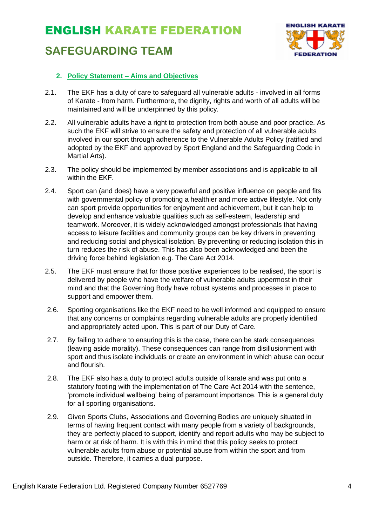### **SAFEGUARDING TEAM**



#### **2. Policy Statement – Aims and Objectives**

- 2.1. The EKF has a duty of care to safeguard all vulnerable adults involved in all forms of Karate - from harm. Furthermore, the dignity, rights and worth of all adults will be maintained and will be underpinned by this policy.
- 2.2. All vulnerable adults have a right to protection from both abuse and poor practice. As such the EKF will strive to ensure the safety and protection of all vulnerable adults involved in our sport through adherence to the Vulnerable Adults Policy (ratified and adopted by the EKF and approved by Sport England and the Safeguarding Code in Martial Arts).
- 2.3. The policy should be implemented by member associations and is applicable to all within the EKF.
- 2.4. Sport can (and does) have a very powerful and positive influence on people and fits with governmental policy of promoting a healthier and more active lifestyle. Not only can sport provide opportunities for enjoyment and achievement, but it can help to develop and enhance valuable qualities such as self-esteem, leadership and teamwork. Moreover, it is widely acknowledged amongst professionals that having access to leisure facilities and community groups can be key drivers in preventing and reducing social and physical isolation. By preventing or reducing isolation this in turn reduces the risk of abuse. This has also been acknowledged and been the driving force behind legislation e.g. The Care Act 2014.
- 2.5. The EKF must ensure that for those positive experiences to be realised, the sport is delivered by people who have the welfare of vulnerable adults uppermost in their mind and that the Governing Body have robust systems and processes in place to support and empower them.
- 2.6. Sporting organisations like the EKF need to be well informed and equipped to ensure that any concerns or complaints regarding vulnerable adults are properly identified and appropriately acted upon. This is part of our Duty of Care.
- 2.7. By failing to adhere to ensuring this is the case, there can be stark consequences (leaving aside morality). These consequences can range from disillusionment with sport and thus isolate individuals or create an environment in which abuse can occur and flourish.
- 2.8. The EKF also has a duty to protect adults outside of karate and was put onto a statutory footing with the implementation of The Care Act 2014 with the sentence, 'promote individual wellbeing' being of paramount importance. This is a general duty for all sporting organisations.
- 2.9. Given Sports Clubs, Associations and Governing Bodies are uniquely situated in terms of having frequent contact with many people from a variety of backgrounds, they are perfectly placed to support, identify and report adults who may be subject to harm or at risk of harm. It is with this in mind that this policy seeks to protect vulnerable adults from abuse or potential abuse from within the sport and from outside. Therefore, it carries a dual purpose.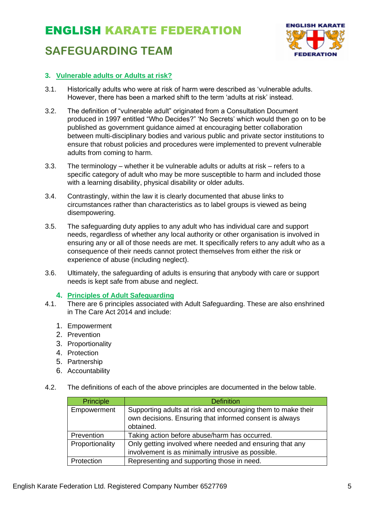### ENGLISH KARATE FEDERATION **SAFEGUARDING TEAM**



#### **3. Vulnerable adults or Adults at risk?**

- 3.1. Historically adults who were at risk of harm were described as 'vulnerable adults. However, there has been a marked shift to the term 'adults at risk' instead.
- 3.2. The definition of "vulnerable adult" originated from a Consultation Document produced in 1997 entitled "Who Decides?" 'No Secrets' which would then go on to be published as government guidance aimed at encouraging better collaboration between multi-disciplinary bodies and various public and private sector institutions to ensure that robust policies and procedures were implemented to prevent vulnerable adults from coming to harm.
- 3.3. The terminology whether it be vulnerable adults or adults at risk refers to a specific category of adult who may be more susceptible to harm and included those with a learning disability, physical disability or older adults.
- 3.4. Contrastingly, within the law it is clearly documented that abuse links to circumstances rather than characteristics as to label groups is viewed as being disempowering.
- 3.5. The safeguarding duty applies to any adult who has individual care and support needs, regardless of whether any local authority or other organisation is involved in ensuring any or all of those needs are met. It specifically refers to any adult who as a consequence of their needs cannot protect themselves from either the risk or experience of abuse (including neglect).
- 3.6. Ultimately, the safeguarding of adults is ensuring that anybody with care or support needs is kept safe from abuse and neglect.

#### **4. Principles of Adult Safeguarding**

- 4.1. There are 6 principles associated with Adult Safeguarding. These are also enshrined in The Care Act 2014 and include:
	- 1. Empowerment
	- 2. Prevention
	- 3. Proportionality
	- 4. Protection
	- 5. Partnership
	- 6. Accountability
- 4.2. The definitions of each of the above principles are documented in the below table.

| <b>Principle</b> | <b>Definition</b>                                                                                                                    |
|------------------|--------------------------------------------------------------------------------------------------------------------------------------|
| Empowerment      | Supporting adults at risk and encouraging them to make their<br>own decisions. Ensuring that informed consent is always<br>obtained. |
| Prevention       | Taking action before abuse/harm has occurred.                                                                                        |
| Proportionality  | Only getting involved where needed and ensuring that any<br>involvement is as minimally intrusive as possible.                       |
| Protection       | Representing and supporting those in need.                                                                                           |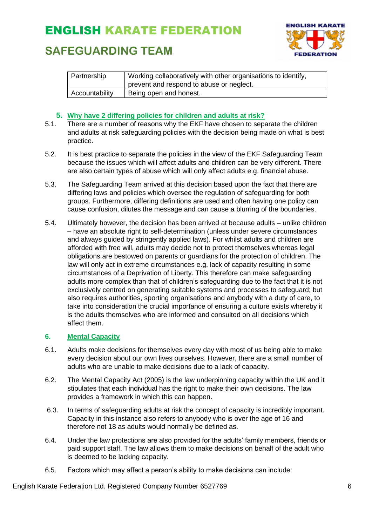### **SAFEGUARDING TEAM**



| Partnership    | Working collaboratively with other organisations to identify, |  |
|----------------|---------------------------------------------------------------|--|
|                | prevent and respond to abuse or neglect.                      |  |
| Accountability | Being open and honest.                                        |  |

#### **5. Why have 2 differing policies for children and adults at risk?**

- 5.1. There are a number of reasons why the EKF have chosen to separate the children and adults at risk safeguarding policies with the decision being made on what is best practice.
- 5.2. It is best practice to separate the policies in the view of the EKF Safeguarding Team because the issues which will affect adults and children can be very different. There are also certain types of abuse which will only affect adults e.g. financial abuse.
- 5.3. The Safeguarding Team arrived at this decision based upon the fact that there are differing laws and policies which oversee the regulation of safeguarding for both groups. Furthermore, differing definitions are used and often having one policy can cause confusion, dilutes the message and can cause a blurring of the boundaries.
- 5.4. Ultimately however, the decision has been arrived at because adults unlike children – have an absolute right to self-determination (unless under severe circumstances and always guided by stringently applied laws). For whilst adults and children are afforded with free will, adults may decide not to protect themselves whereas legal obligations are bestowed on parents or guardians for the protection of children. The law will only act in extreme circumstances e.g. lack of capacity resulting in some circumstances of a Deprivation of Liberty. This therefore can make safeguarding adults more complex than that of children's safeguarding due to the fact that it is not exclusively centred on generating suitable systems and processes to safeguard; but also requires authorities, sporting organisations and anybody with a duty of care, to take into consideration the crucial importance of ensuring a culture exists whereby it is the adults themselves who are informed and consulted on all decisions which affect them.

#### **6. Mental Capacity**

- 6.1. Adults make decisions for themselves every day with most of us being able to make every decision about our own lives ourselves. However, there are a small number of adults who are unable to make decisions due to a lack of capacity.
- 6.2. The Mental Capacity Act (2005) is the law underpinning capacity within the UK and it stipulates that each individual has the right to make their own decisions. The law provides a framework in which this can happen.
- 6.3. In terms of safeguarding adults at risk the concept of capacity is incredibly important. Capacity in this instance also refers to anybody who is over the age of 16 and therefore not 18 as adults would normally be defined as.
- 6.4. Under the law protections are also provided for the adults' family members, friends or paid support staff. The law allows them to make decisions on behalf of the adult who is deemed to be lacking capacity.
- 6.5. Factors which may affect a person's ability to make decisions can include: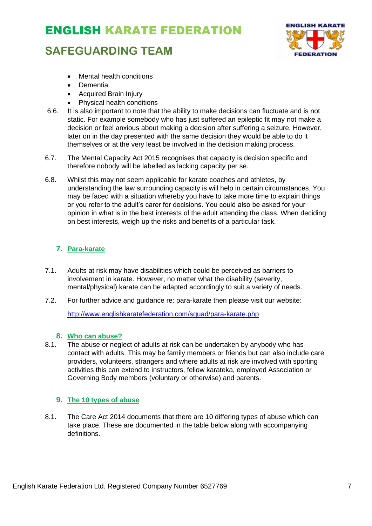### **SAFEGUARDING TEAM**



- Mental health conditions
- Dementia
- Acquired Brain Injury
- Physical health conditions
- 6.6. It is also important to note that the ability to make decisions can fluctuate and is not static. For example somebody who has just suffered an epileptic fit may not make a decision or feel anxious about making a decision after suffering a seizure. However, later on in the day presented with the same decision they would be able to do it themselves or at the very least be involved in the decision making process.
- 6.7. The Mental Capacity Act 2015 recognises that capacity is decision specific and therefore nobody will be labelled as lacking capacity per se.
- 6.8. Whilst this may not seem applicable for karate coaches and athletes, by understanding the law surrounding capacity is will help in certain circumstances. You may be faced with a situation whereby you have to take more time to explain things or you refer to the adult's carer for decisions. You could also be asked for your opinion in what is in the best interests of the adult attending the class. When deciding on best interests, weigh up the risks and benefits of a particular task.

#### **7. Para-karate**

- 7.1. Adults at risk may have disabilities which could be perceived as barriers to involvement in karate. However, no matter what the disability (severity, mental/physical) karate can be adapted accordingly to suit a variety of needs.
- 7.2. For further advice and guidance re: para-karate then please visit our website:

<http://www.englishkaratefederation.com/squad/para-karate.php>

#### **8. Who can abuse?**

8.1. The abuse or neglect of adults at risk can be undertaken by anybody who has contact with adults. This may be family members or friends but can also include care providers, volunteers, strangers and where adults at risk are involved with sporting activities this can extend to instructors, fellow karateka, employed Association or Governing Body members (voluntary or otherwise) and parents.

#### **9. The 10 types of abuse**

8.1. The Care Act 2014 documents that there are 10 differing types of abuse which can take place. These are documented in the table below along with accompanying definitions.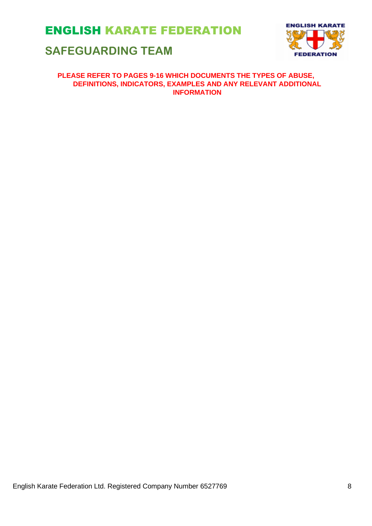### **SAFEGUARDING TEAM**



#### **PLEASE REFER TO PAGES 9-16 WHICH DOCUMENTS THE TYPES OF ABUSE, DEFINITIONS, INDICATORS, EXAMPLES AND ANY RELEVANT ADDITIONAL INFORMATION**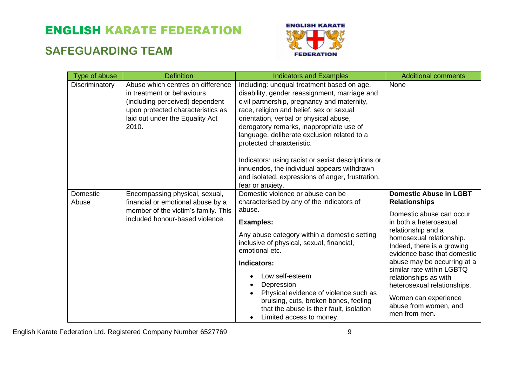### **SAFEGUARDING TEAM**



| Type of abuse     | <b>Definition</b>                                                                                                                                                                   | <b>Indicators and Examples</b>                                                                                                                                                                                                                                                                                                                                                                                                                                                                                                        | <b>Additional comments</b>                                                                                                                                                                                                                                                                                                                                                                                       |
|-------------------|-------------------------------------------------------------------------------------------------------------------------------------------------------------------------------------|---------------------------------------------------------------------------------------------------------------------------------------------------------------------------------------------------------------------------------------------------------------------------------------------------------------------------------------------------------------------------------------------------------------------------------------------------------------------------------------------------------------------------------------|------------------------------------------------------------------------------------------------------------------------------------------------------------------------------------------------------------------------------------------------------------------------------------------------------------------------------------------------------------------------------------------------------------------|
| Discriminatory    | Abuse which centres on difference<br>in treatment or behaviours<br>(including perceived) dependent<br>upon protected characteristics as<br>laid out under the Equality Act<br>2010. | Including: unequal treatment based on age,<br>disability, gender reassignment, marriage and<br>civil partnership, pregnancy and maternity,<br>race, religion and belief, sex or sexual<br>orientation, verbal or physical abuse,<br>derogatory remarks, inappropriate use of<br>language, deliberate exclusion related to a<br>protected characteristic.<br>Indicators: using racist or sexist descriptions or<br>innuendos, the individual appears withdrawn<br>and isolated, expressions of anger, frustration,<br>fear or anxiety. | None                                                                                                                                                                                                                                                                                                                                                                                                             |
| Domestic<br>Abuse | Encompassing physical, sexual,<br>financial or emotional abuse by a<br>member of the victim's family. This<br>included honour-based violence.                                       | Domestic violence or abuse can be<br>characterised by any of the indicators of<br>abuse.<br><b>Examples:</b><br>Any abuse category within a domestic setting<br>inclusive of physical, sexual, financial,<br>emotional etc.<br>Indicators:<br>Low self-esteem<br>Depression<br>Physical evidence of violence such as<br>bruising, cuts, broken bones, feeling<br>that the abuse is their fault, isolation<br>Limited access to money.<br>$\bullet$                                                                                    | <b>Domestic Abuse in LGBT</b><br><b>Relationships</b><br>Domestic abuse can occur<br>in both a heterosexual<br>relationship and a<br>homosexual relationship.<br>Indeed, there is a growing<br>evidence base that domestic<br>abuse may be occurring at a<br>similar rate within LGBTQ<br>relationships as with<br>heterosexual relationships.<br>Women can experience<br>abuse from women, and<br>men from men. |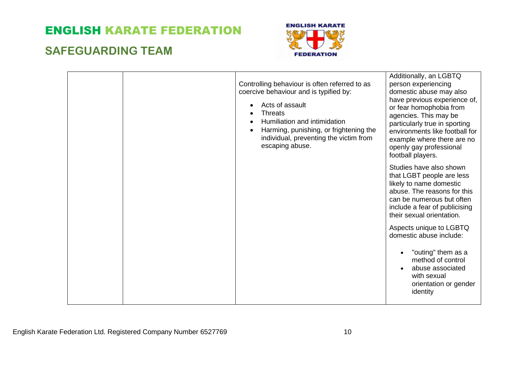### **SAFEGUARDING TEAM**



|  | Controlling behaviour is often referred to as<br>coercive behaviour and is typified by:<br>Acts of assault<br><b>Threats</b><br>Humiliation and intimidation<br>Harming, punishing, or frightening the<br>individual, preventing the victim from<br>escaping abuse. | Additionally, an LGBTQ<br>person experiencing<br>domestic abuse may also<br>have previous experience of,<br>or fear homophobia from<br>agencies. This may be<br>particularly true in sporting<br>environments like football for<br>example where there are no<br>openly gay professional<br>football players. |
|--|---------------------------------------------------------------------------------------------------------------------------------------------------------------------------------------------------------------------------------------------------------------------|---------------------------------------------------------------------------------------------------------------------------------------------------------------------------------------------------------------------------------------------------------------------------------------------------------------|
|  |                                                                                                                                                                                                                                                                     | Studies have also shown<br>that LGBT people are less<br>likely to name domestic<br>abuse. The reasons for this<br>can be numerous but often<br>include a fear of publicising<br>their sexual orientation.                                                                                                     |
|  |                                                                                                                                                                                                                                                                     | Aspects unique to LGBTQ<br>domestic abuse include:<br>"outing" them as a<br>method of control                                                                                                                                                                                                                 |
|  |                                                                                                                                                                                                                                                                     | abuse associated<br>with sexual<br>orientation or gender<br>identity                                                                                                                                                                                                                                          |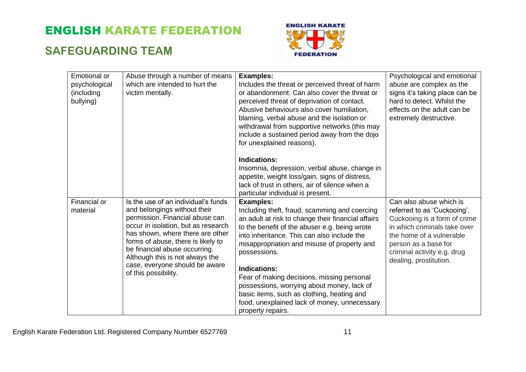### **SAFEGUARDING TEAM**



| Emotional or  | Abuse through a number of means                                   | <b>Examples:</b>                                   | Psychological and emotional    |
|---------------|-------------------------------------------------------------------|----------------------------------------------------|--------------------------------|
| psychological | which are intended to hurt the                                    | Includes the threat or perceived threat of harm    | abuse are complex as the       |
| (including    | victim mentally.                                                  | or abandonment. Can also cover the threat or       | signs it's taking place can be |
| bullying)     |                                                                   | perceived threat of deprivation of contact.        | hard to detect. Whilst the     |
|               |                                                                   | Abusive behaviours also cover humiliation,         | effects on the adult can be    |
|               |                                                                   | blaming, verbal abuse and the isolation or         | extremely destructive.         |
|               |                                                                   | withdrawal from supportive networks (this may      |                                |
|               |                                                                   | include a sustained period away from the dojo      |                                |
|               |                                                                   | for unexplained reasons).                          |                                |
|               |                                                                   |                                                    |                                |
|               |                                                                   | <b>Indications:</b>                                |                                |
|               |                                                                   | Insomnia, depression, verbal abuse, change in      |                                |
|               |                                                                   | appetite, weight loss/gain, signs of distress,     |                                |
|               |                                                                   | lack of trust in others, air of silence when a     |                                |
|               |                                                                   | particular individual is present.                  |                                |
| Financial or  | Is the use of an individual's funds                               | <b>Examples:</b>                                   | Can also abuse which is        |
| material      | and belongings without their                                      | Including theft, fraud, scamming and coercing      | referred to as 'Cuckooing'.    |
|               | permission. Financial abuse can                                   | an adult at risk to change their financial affairs | Cuckooing is a form of crime   |
|               | occur in isolation, but as research                               | to the benefit of the abuser e.g. being wrote      | in which criminals take over   |
|               | has shown, where there are other                                  | into inheritance. This can also include the        | the home of a vulnerable       |
|               | forms of abuse, there is likely to                                | misappropriation and misuse of property and        | person as a base for           |
|               | be financial abuse occurring.                                     | possessions.                                       | criminal activity e.g. drug    |
|               | Although this is not always the<br>case, everyone should be aware |                                                    | dealing, prostitution.         |
|               | of this possibility.                                              | <b>Indications:</b>                                |                                |
|               |                                                                   | Fear of making decisions, missing personal         |                                |
|               |                                                                   | possessions, worrying about money, lack of         |                                |
|               |                                                                   | basic items, such as clothing, heating and         |                                |
|               |                                                                   | food, unexplained lack of money, unnecessary       |                                |
|               |                                                                   | property repairs.                                  |                                |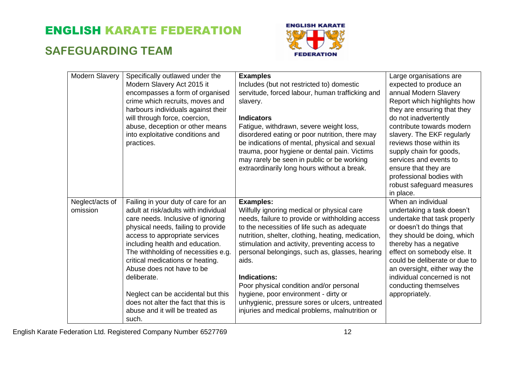### **SAFEGUARDING TEAM**



| Modern Slavery              | Specifically outlawed under the<br>Modern Slavery Act 2015 it<br>encompasses a form of organised<br>crime which recruits, moves and<br>harbours individuals against their<br>will through force, coercion,<br>abuse, deception or other means<br>into exploitative conditions and<br>practices.                                                                                                                                                                              | <b>Examples</b><br>Includes (but not restricted to) domestic<br>servitude, forced labour, human trafficking and<br>slavery.<br><b>Indicators</b><br>Fatigue, withdrawn, severe weight loss,<br>disordered eating or poor nutrition, there may<br>be indications of mental, physical and sexual<br>trauma, poor hygiene or dental pain. Victims<br>may rarely be seen in public or be working<br>extraordinarily long hours without a break.                                                                                                 | Large organisations are<br>expected to produce an<br>annual Modern Slavery<br>Report which highlights how<br>they are ensuring that they<br>do not inadvertently<br>contribute towards modern<br>slavery. The EKF regularly<br>reviews those within its<br>supply chain for goods,<br>services and events to<br>ensure that they are<br>professional bodies with<br>robust safeguard measures<br>in place. |
|-----------------------------|------------------------------------------------------------------------------------------------------------------------------------------------------------------------------------------------------------------------------------------------------------------------------------------------------------------------------------------------------------------------------------------------------------------------------------------------------------------------------|---------------------------------------------------------------------------------------------------------------------------------------------------------------------------------------------------------------------------------------------------------------------------------------------------------------------------------------------------------------------------------------------------------------------------------------------------------------------------------------------------------------------------------------------|------------------------------------------------------------------------------------------------------------------------------------------------------------------------------------------------------------------------------------------------------------------------------------------------------------------------------------------------------------------------------------------------------------|
| Neglect/acts of<br>omission | Failing in your duty of care for an<br>adult at risk/adults with individual<br>care needs. Inclusive of ignoring<br>physical needs, failing to provide<br>access to appropriate services<br>including health and education.<br>The withholding of necessities e.g.<br>critical medications or heating.<br>Abuse does not have to be<br>deliberate.<br>Neglect can be accidental but this<br>does not alter the fact that this is<br>abuse and it will be treated as<br>such. | <b>Examples:</b><br>Wilfully ignoring medical or physical care<br>needs, failure to provide or withholding access<br>to the necessities of life such as adequate<br>nutrition, shelter, clothing, heating, medication,<br>stimulation and activity, preventing access to<br>personal belongings, such as, glasses, hearing<br>aids.<br>Indications:<br>Poor physical condition and/or personal<br>hygiene, poor environment - dirty or<br>unhygienic, pressure sores or ulcers, untreated<br>injuries and medical problems, malnutrition or | When an individual<br>undertaking a task doesn't<br>undertake that task properly<br>or doesn't do things that<br>they should be doing, which<br>thereby has a negative<br>effect on somebody else. It<br>could be deliberate or due to<br>an oversight, either way the<br>individual concerned is not<br>conducting themselves<br>appropriately.                                                           |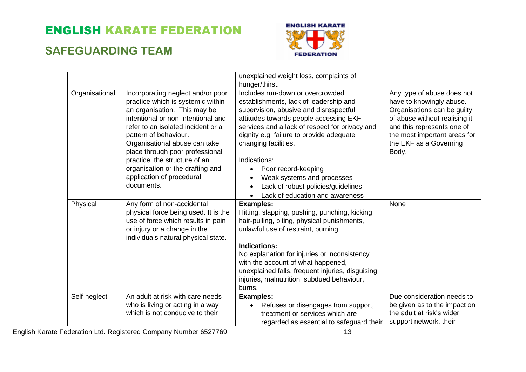### **SAFEGUARDING TEAM**



|                |                                                                                                                                                                                                                                                                                                                                                                                                 | unexplained weight loss, complaints of<br>hunger/thirst.                                                                                                                                                                                                                                                                                                                                                                                                                               |                                                                                                                                                                                                                         |
|----------------|-------------------------------------------------------------------------------------------------------------------------------------------------------------------------------------------------------------------------------------------------------------------------------------------------------------------------------------------------------------------------------------------------|----------------------------------------------------------------------------------------------------------------------------------------------------------------------------------------------------------------------------------------------------------------------------------------------------------------------------------------------------------------------------------------------------------------------------------------------------------------------------------------|-------------------------------------------------------------------------------------------------------------------------------------------------------------------------------------------------------------------------|
| Organisational | Incorporating neglect and/or poor<br>practice which is systemic within<br>an organisation. This may be<br>intentional or non-intentional and<br>refer to an isolated incident or a<br>pattern of behaviour.<br>Organisational abuse can take<br>place through poor professional<br>practice, the structure of an<br>organisation or the drafting and<br>application of procedural<br>documents. | Includes run-down or overcrowded<br>establishments, lack of leadership and<br>supervision, abusive and disrespectful<br>attitudes towards people accessing EKF<br>services and a lack of respect for privacy and<br>dignity e.g. failure to provide adequate<br>changing facilities.<br>Indications:<br>Poor record-keeping<br>$\bullet$<br>Weak systems and processes<br>$\bullet$<br>Lack of robust policies/guidelines<br>$\bullet$<br>Lack of education and awareness<br>$\bullet$ | Any type of abuse does not<br>have to knowingly abuse.<br>Organisations can be guilty<br>of abuse without realising it<br>and this represents one of<br>the most important areas for<br>the EKF as a Governing<br>Body. |
| Physical       | Any form of non-accidental<br>physical force being used. It is the<br>use of force which results in pain<br>or injury or a change in the<br>individuals natural physical state.                                                                                                                                                                                                                 | <b>Examples:</b><br>Hitting, slapping, pushing, punching, kicking,<br>hair-pulling, biting, physical punishments,<br>unlawful use of restraint, burning.<br><b>Indications:</b><br>No explanation for injuries or inconsistency<br>with the account of what happened,<br>unexplained falls, frequent injuries, disguising<br>injuries, malnutrition, subdued behaviour,<br>burns.                                                                                                      | None                                                                                                                                                                                                                    |
| Self-neglect   | An adult at risk with care needs<br>who is living or acting in a way<br>which is not conducive to their                                                                                                                                                                                                                                                                                         | <b>Examples:</b><br>Refuses or disengages from support,<br>$\bullet$<br>treatment or services which are<br>regarded as essential to safeguard their                                                                                                                                                                                                                                                                                                                                    | Due consideration needs to<br>be given as to the impact on<br>the adult at risk's wider<br>support network, their                                                                                                       |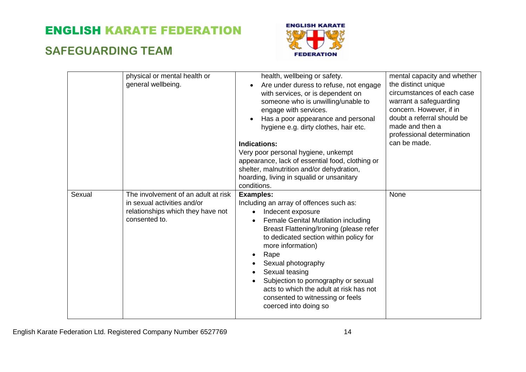### **SAFEGUARDING TEAM**



|        | physical or mental health or<br>general wellbeing.                                                                       | health, wellbeing or safety.<br>Are under duress to refuse, not engage<br>$\bullet$<br>with services, or is dependent on<br>someone who is unwilling/unable to<br>engage with services.<br>Has a poor appearance and personal<br>hygiene e.g. dirty clothes, hair etc.<br><b>Indications:</b><br>Very poor personal hygiene, unkempt<br>appearance, lack of essential food, clothing or<br>shelter, malnutrition and/or dehydration,<br>hoarding, living in squalid or unsanitary<br>conditions. | mental capacity and whether<br>the distinct unique<br>circumstances of each case<br>warrant a safeguarding<br>concern. However, if in<br>doubt a referral should be<br>made and then a<br>professional determination<br>can be made. |
|--------|--------------------------------------------------------------------------------------------------------------------------|--------------------------------------------------------------------------------------------------------------------------------------------------------------------------------------------------------------------------------------------------------------------------------------------------------------------------------------------------------------------------------------------------------------------------------------------------------------------------------------------------|--------------------------------------------------------------------------------------------------------------------------------------------------------------------------------------------------------------------------------------|
| Sexual | The involvement of an adult at risk<br>in sexual activities and/or<br>relationships which they have not<br>consented to. | <b>Examples:</b><br>Including an array of offences such as:<br>Indecent exposure<br>Female Genital Mutilation including<br>$\bullet$<br>Breast Flattening/Ironing (please refer<br>to dedicated section within policy for<br>more information)<br>Rape<br>Sexual photography<br>Sexual teasing<br>Subjection to pornography or sexual<br>acts to which the adult at risk has not<br>consented to witnessing or feels<br>coerced into doing so                                                    | None                                                                                                                                                                                                                                 |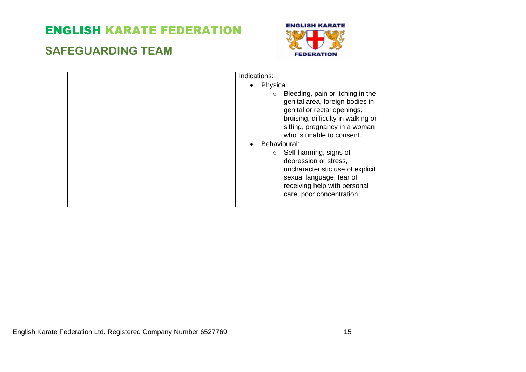### **SAFEGUARDING TEAM**



| Indications:                                                                                                                                                                                                      |  |
|-------------------------------------------------------------------------------------------------------------------------------------------------------------------------------------------------------------------|--|
| • Physical                                                                                                                                                                                                        |  |
| Bleeding, pain or itching in the<br>$\circ$<br>genital area, foreign bodies in<br>genital or rectal openings,<br>bruising, difficulty in walking or<br>sitting, pregnancy in a woman<br>who is unable to consent. |  |
| Behavioural:<br>$\bullet$                                                                                                                                                                                         |  |
| $\circ$ Self-harming, signs of<br>depression or stress,<br>uncharacteristic use of explicit<br>sexual language, fear of<br>receiving help with personal<br>care, poor concentration                               |  |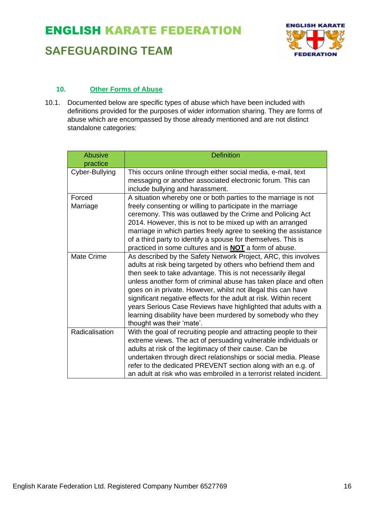

### **SAFEGUARDING TEAM**

#### **10. Other Forms of Abuse**

10.1. Documented below are specific types of abuse which have been included with definitions provided for the purposes of wider information sharing. They are forms of abuse which are encompassed by those already mentioned and are not distinct standalone categories:

| <b>Abusive</b> | <b>Definition</b>                                                                                                                   |
|----------------|-------------------------------------------------------------------------------------------------------------------------------------|
| practice       |                                                                                                                                     |
| Cyber-Bullying | This occurs online through either social media, e-mail, text                                                                        |
|                | messaging or another associated electronic forum. This can<br>include bullying and harassment.                                      |
| Forced         | A situation whereby one or both parties to the marriage is not                                                                      |
| Marriage       | freely consenting or willing to participate in the marriage<br>ceremony. This was outlawed by the Crime and Policing Act            |
|                | 2014. However, this is not to be mixed up with an arranged                                                                          |
|                | marriage in which parties freely agree to seeking the assistance                                                                    |
|                | of a third party to identify a spouse for themselves. This is<br>practiced in some cultures and is <b>NOT</b> a form of abuse.      |
| Mate Crime     | As described by the Safety Network Project, ARC, this involves                                                                      |
|                | adults at risk being targeted by others who befriend them and                                                                       |
|                | then seek to take advantage. This is not necessarily illegal                                                                        |
|                | unless another form of criminal abuse has taken place and often<br>goes on in private. However, whilst not illegal this can have    |
|                | significant negative effects for the adult at risk. Within recent                                                                   |
|                | years Serious Case Reviews have highlighted that adults with a                                                                      |
|                | learning disability have been murdered by somebody who they                                                                         |
|                | thought was their 'mate'.                                                                                                           |
| Radicalisation | With the goal of recruiting people and attracting people to their<br>extreme views. The act of persuading vulnerable individuals or |
|                | adults at risk of the legitimacy of their cause. Can be                                                                             |
|                | undertaken through direct relationships or social media. Please                                                                     |
|                | refer to the dedicated PREVENT section along with an e.g. of                                                                        |
|                | an adult at risk who was embroiled in a terrorist related incident.                                                                 |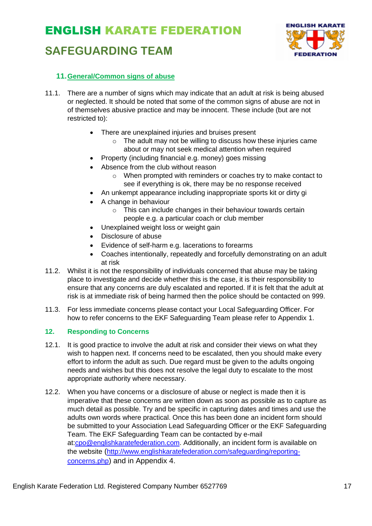### **SAFEGUARDING TEAM**



#### **11.General/Common signs of abuse**

- 11.1. There are a number of signs which may indicate that an adult at risk is being abused or neglected. It should be noted that some of the common signs of abuse are not in of themselves abusive practice and may be innocent. These include (but are not restricted to):
	- There are unexplained injuries and bruises present
		- o The adult may not be willing to discuss how these injuries came about or may not seek medical attention when required
	- Property (including financial e.g. money) goes missing
	- Absence from the club without reason
		- o When prompted with reminders or coaches try to make contact to see if everything is ok, there may be no response received
	- An unkempt appearance including inappropriate sports kit or dirty gi
	- A change in behaviour
		- o This can include changes in their behaviour towards certain people e.g. a particular coach or club member
	- Unexplained weight loss or weight gain
	- Disclosure of abuse
	- Evidence of self-harm e.g. lacerations to forearms
	- Coaches intentionally, repeatedly and forcefully demonstrating on an adult at risk
- 11.2. Whilst it is not the responsibility of individuals concerned that abuse may be taking place to investigate and decide whether this is the case, it is their responsibility to ensure that any concerns are duly escalated and reported. If it is felt that the adult at risk is at immediate risk of being harmed then the police should be contacted on 999.
- 11.3. For less immediate concerns please contact your Local Safeguarding Officer. For how to refer concerns to the EKF Safeguarding Team please refer to Appendix 1.

#### **12. Responding to Concerns**

- 12.1. It is good practice to involve the adult at risk and consider their views on what they wish to happen next. If concerns need to be escalated, then you should make every effort to inform the adult as such. Due regard must be given to the adults ongoing needs and wishes but this does not resolve the legal duty to escalate to the most appropriate authority where necessary.
- 12.2. When you have concerns or a disclosure of abuse or neglect is made then it is imperative that these concerns are written down as soon as possible as to capture as much detail as possible. Try and be specific in capturing dates and times and use the adults own words where practical. Once this has been done an incident form should be submitted to your Association Lead Safeguarding Officer or the EKF Safeguarding Team. The EKF Safeguarding Team can be contacted by e-mail at[:cpo@englishkaratefederation.com.](mailto:cpo@englishkaratefederation.com) Additionally, an incident form is available on the website ([http://www.englishkaratefederation.com/safeguarding/reporting](http://www.englishkaratefederation.com/safeguarding/reporting-concerns.php)[concerns.php](http://www.englishkaratefederation.com/safeguarding/reporting-concerns.php)) and in Appendix 4.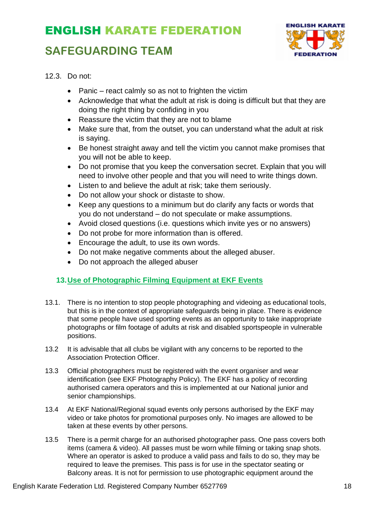### **SAFEGUARDING TEAM**



12.3. Do not:

- Panic react calmly so as not to frighten the victim
- Acknowledge that what the adult at risk is doing is difficult but that they are doing the right thing by confiding in you
- Reassure the victim that they are not to blame
- Make sure that, from the outset, you can understand what the adult at risk is saying.
- Be honest straight away and tell the victim you cannot make promises that you will not be able to keep.
- Do not promise that you keep the conversation secret. Explain that you will need to involve other people and that you will need to write things down.
- Listen to and believe the adult at risk; take them seriously.
- Do not allow your shock or distaste to show.
- Keep any questions to a minimum but do clarify any facts or words that you do not understand – do not speculate or make assumptions.
- Avoid closed questions (i.e. questions which invite yes or no answers)
- Do not probe for more information than is offered.
- Encourage the adult, to use its own words.
- Do not make negative comments about the alleged abuser.
- Do not approach the alleged abuser

#### **13.Use of Photographic Filming Equipment at EKF Events**

- 13.1. There is no intention to stop people photographing and videoing as educational tools, but this is in the context of appropriate safeguards being in place. There is evidence that some people have used sporting events as an opportunity to take inappropriate photographs or film footage of adults at risk and disabled sportspeople in vulnerable positions.
- 13.2 It is advisable that all clubs be vigilant with any concerns to be reported to the Association Protection Officer.
- 13.3 Official photographers must be registered with the event organiser and wear identification (see EKF Photography Policy). The EKF has a policy of recording authorised camera operators and this is implemented at our National junior and senior championships.
- 13.4 At EKF National/Regional squad events only persons authorised by the EKF may video or take photos for promotional purposes only. No images are allowed to be taken at these events by other persons.
- 13.5 There is a permit charge for an authorised photographer pass. One pass covers both items (camera & video). All passes must be worn while filming or taking snap shots. Where an operator is asked to produce a valid pass and fails to do so, they may be required to leave the premises. This pass is for use in the spectator seating or Balcony areas. It is not for permission to use photographic equipment around the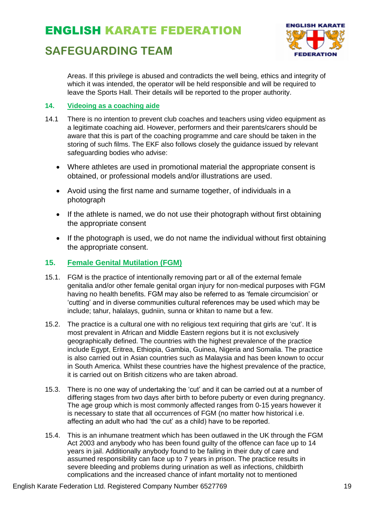### **SAFEGUARDING TEAM**



Areas. If this privilege is abused and contradicts the well being, ethics and integrity of which it was intended, the operator will be held responsible and will be required to leave the Sports Hall. Their details will be reported to the proper authority.

#### **14. Videoing as a coaching aide**

- 14.1 There is no intention to prevent club coaches and teachers using video equipment as a legitimate coaching aid. However, performers and their parents/carers should be aware that this is part of the coaching programme and care should be taken in the storing of such films. The EKF also follows closely the guidance issued by relevant safeguarding bodies who advise:
	- Where athletes are used in promotional material the appropriate consent is obtained, or professional models and/or illustrations are used.
	- Avoid using the first name and surname together, of individuals in a photograph
	- If the athlete is named, we do not use their photograph without first obtaining the appropriate consent
	- If the photograph is used, we do not name the individual without first obtaining the appropriate consent.

#### **15. Female Genital Mutilation (FGM)**

- 15.1. FGM is the practice of intentionally removing part or all of the external female genitalia and/or other female genital organ injury for non-medical purposes with FGM having no health benefits. FGM may also be referred to as 'female circumcision' or 'cutting' and in diverse communities cultural references may be used which may be include; tahur, halalays, gudniin, sunna or khitan to name but a few.
- 15.2. The practice is a cultural one with no religious text requiring that girls are 'cut'. It is most prevalent in African and Middle Eastern regions but it is not exclusively geographically defined. The countries with the highest prevalence of the practice include Egypt, Eritrea, Ethiopia, Gambia, Guinea, Nigeria and Somalia. The practice is also carried out in Asian countries such as Malaysia and has been known to occur in South America. Whilst these countries have the highest prevalence of the practice, it is carried out on British citizens who are taken abroad.
- 15.3. There is no one way of undertaking the 'cut' and it can be carried out at a number of differing stages from two days after birth to before puberty or even during pregnancy. The age group which is most commonly affected ranges from 0-15 years however it is necessary to state that all occurrences of FGM (no matter how historical i.e. affecting an adult who had 'the cut' as a child) have to be reported.
- 15.4. This is an inhumane treatment which has been outlawed in the UK through the FGM Act 2003 and anybody who has been found guilty of the offence can face up to 14 years in jail. Additionally anybody found to be failing in their duty of care and assumed responsibility can face up to 7 years in prison. The practice results in severe bleeding and problems during urination as well as infections, childbirth complications and the increased chance of infant mortality not to mentioned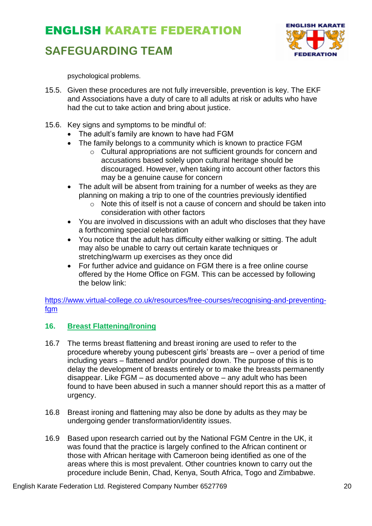### **SAFEGUARDING TEAM**



psychological problems.

- 15.5. Given these procedures are not fully irreversible, prevention is key. The EKF and Associations have a duty of care to all adults at risk or adults who have had the cut to take action and bring about justice.
- 15.6. Key signs and symptoms to be mindful of:
	- The adult's family are known to have had FGM
	- The family belongs to a community which is known to practice FGM
		- o Cultural appropriations are not sufficient grounds for concern and accusations based solely upon cultural heritage should be discouraged. However, when taking into account other factors this may be a genuine cause for concern
	- The adult will be absent from training for a number of weeks as they are planning on making a trip to one of the countries previously identified
		- $\circ$  Note this of itself is not a cause of concern and should be taken into consideration with other factors
	- You are involved in discussions with an adult who discloses that they have a forthcoming special celebration
	- You notice that the adult has difficulty either walking or sitting. The adult may also be unable to carry out certain karate techniques or stretching/warm up exercises as they once did
	- For further advice and guidance on FGM there is a free online course offered by the Home Office on FGM. This can be accessed by following the below link:

[https://www.virtual-college.co.uk/resources/free-courses/recognising-and-preventing](https://www.virtual-college.co.uk/resources/free-courses/recognising-and-preventing-fgm)[fgm](https://www.virtual-college.co.uk/resources/free-courses/recognising-and-preventing-fgm)

#### **16. Breast Flattening/Ironing**

- 16.7 The terms breast flattening and breast ironing are used to refer to the procedure whereby young pubescent girls' breasts are – over a period of time including years – flattened and/or pounded down. The purpose of this is to delay the development of breasts entirely or to make the breasts permanently disappear. Like FGM – as documented above – any adult who has been found to have been abused in such a manner should report this as a matter of urgency.
- 16.8 Breast ironing and flattening may also be done by adults as they may be undergoing gender transformation/identity issues.
- 16.9 Based upon research carried out by the National FGM Centre in the UK, it was found that the practice is largely confined to the African continent or those with African heritage with Cameroon being identified as one of the areas where this is most prevalent. Other countries known to carry out the procedure include Benin, Chad, Kenya, South Africa, Togo and Zimbabwe.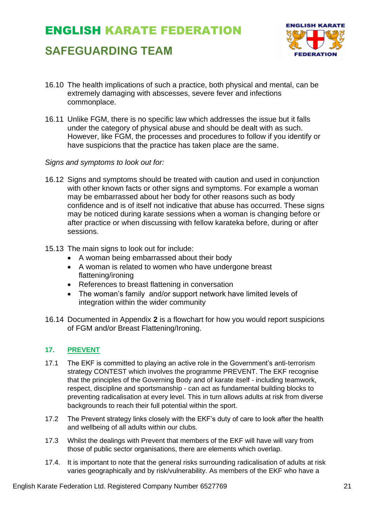### **SAFEGUARDING TEAM**



- 16.10 The health implications of such a practice, both physical and mental, can be extremely damaging with abscesses, severe fever and infections commonplace.
- 16.11 Unlike FGM, there is no specific law which addresses the issue but it falls under the category of physical abuse and should be dealt with as such. However, like FGM, the processes and procedures to follow if you identify or have suspicions that the practice has taken place are the same.

#### *Signs and symptoms to look out for:*

- 16.12 Signs and symptoms should be treated with caution and used in conjunction with other known facts or other signs and symptoms. For example a woman may be embarrassed about her body for other reasons such as body confidence and is of itself not indicative that abuse has occurred. These signs may be noticed during karate sessions when a woman is changing before or after practice or when discussing with fellow karateka before, during or after sessions.
- 15.13 The main signs to look out for include:
	- A woman being embarrassed about their body
	- A woman is related to women who have undergone breast flattening/ironing
	- References to breast flattening in conversation
	- The woman's family and/or support network have limited levels of integration within the wider community
- 16.14 Documented in Appendix **2** is a flowchart for how you would report suspicions of FGM and/or Breast Flattening/Ironing.

#### **17. PREVENT**

- 17.1 The EKF is committed to playing an active role in the Government's anti-terrorism strategy CONTEST which involves the programme PREVENT. The EKF recognise that the principles of the Governing Body and of karate itself - including teamwork, respect, discipline and sportsmanship - can act as fundamental building blocks to preventing radicalisation at every level. This in turn allows adults at risk from diverse backgrounds to reach their full potential within the sport.
- 17.2 The Prevent strategy links closely with the EKF's duty of care to look after the health and wellbeing of all adults within our clubs.
- 17.3 Whilst the dealings with Prevent that members of the EKF will have will vary from those of public sector organisations, there are elements which overlap.
- 17.4. It is important to note that the general risks surrounding radicalisation of adults at risk varies geographically and by risk/vulnerability. As members of the EKF who have a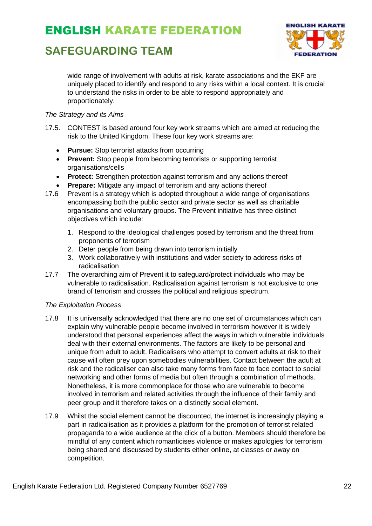### **SAFEGUARDING TEAM**



wide range of involvement with adults at risk, karate associations and the EKF are uniquely placed to identify and respond to any risks within a local context. It is crucial to understand the risks in order to be able to respond appropriately and proportionately.

#### *The Strategy and its Aims*

- 17.5. CONTEST is based around four key work streams which are aimed at reducing the risk to the United Kingdom. These four key work streams are:
	- **Pursue:** Stop terrorist attacks from occurring
	- **Prevent:** Stop people from becoming terrorists or supporting terrorist organisations/cells
	- **Protect:** Strengthen protection against terrorism and any actions thereof
	- **Prepare:** Mitigate any impact of terrorism and any actions thereof
- 17.6 Prevent is a strategy which is adopted throughout a wide range of organisations encompassing both the public sector and private sector as well as charitable organisations and voluntary groups. The Prevent initiative has three distinct objectives which include:
	- 1. Respond to the ideological challenges posed by terrorism and the threat from proponents of terrorism
	- 2. Deter people from being drawn into terrorism initially
	- 3. Work collaboratively with institutions and wider society to address risks of radicalisation
- 17.7 The overarching aim of Prevent it to safeguard/protect individuals who may be vulnerable to radicalisation. Radicalisation against terrorism is not exclusive to one brand of terrorism and crosses the political and religious spectrum.

#### *The Exploitation Process*

- 17.8 It is universally acknowledged that there are no one set of circumstances which can explain why vulnerable people become involved in terrorism however it is widely understood that personal experiences affect the ways in which vulnerable individuals deal with their external environments. The factors are likely to be personal and unique from adult to adult. Radicalisers who attempt to convert adults at risk to their cause will often prey upon somebodies vulnerabilities. Contact between the adult at risk and the radicaliser can also take many forms from face to face contact to social networking and other forms of media but often through a combination of methods. Nonetheless, it is more commonplace for those who are vulnerable to become involved in terrorism and related activities through the influence of their family and peer group and it therefore takes on a distinctly social element.
- 17.9 Whilst the social element cannot be discounted, the internet is increasingly playing a part in radicalisation as it provides a platform for the promotion of terrorist related propaganda to a wide audience at the click of a button. Members should therefore be mindful of any content which romanticises violence or makes apologies for terrorism being shared and discussed by students either online, at classes or away on competition.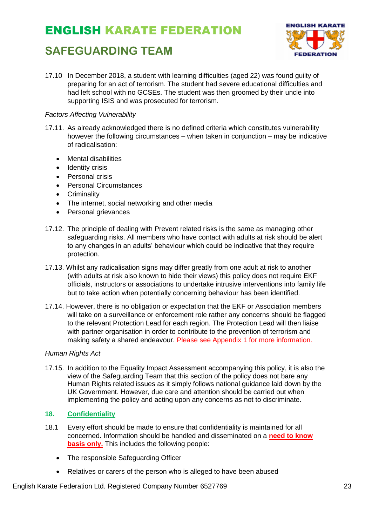### **SAFEGUARDING TEAM**



17.10 In December 2018, a student with learning difficulties (aged 22) was found guilty of preparing for an act of terrorism. The student had severe educational difficulties and had left school with no GCSEs. The student was then groomed by their uncle into supporting ISIS and was prosecuted for terrorism.

#### *Factors Affecting Vulnerability*

- 17.11. As already acknowledged there is no defined criteria which constitutes vulnerability however the following circumstances – when taken in conjunction – may be indicative of radicalisation:
	- Mental disabilities
	- Identity crisis
	- Personal crisis
	- Personal Circumstances
	- Criminality
	- The internet, social networking and other media
	- Personal grievances
- 17.12. The principle of dealing with Prevent related risks is the same as managing other safeguarding risks. All members who have contact with adults at risk should be alert to any changes in an adults' behaviour which could be indicative that they require protection.
- 17.13. Whilst any radicalisation signs may differ greatly from one adult at risk to another (with adults at risk also known to hide their views) this policy does not require EKF officials, instructors or associations to undertake intrusive interventions into family life but to take action when potentially concerning behaviour has been identified.
- 17.14. However, there is no obligation or expectation that the EKF or Association members will take on a surveillance or enforcement role rather any concerns should be flagged to the relevant Protection Lead for each region. The Protection Lead will then liaise with partner organisation in order to contribute to the prevention of terrorism and making safety a shared endeavour. Please see Appendix 1 for more information.

#### *Human Rights Act*

17.15. In addition to the Equality Impact Assessment accompanying this policy, it is also the view of the Safeguarding Team that this section of the policy does not bare any Human Rights related issues as it simply follows national guidance laid down by the UK Government. However, due care and attention should be carried out when implementing the policy and acting upon any concerns as not to discriminate.

#### **18. Confidentiality**

- 18.1 Every effort should be made to ensure that confidentiality is maintained for all concerned. Information should be handled and disseminated on a **need to know basis only.** This includes the following people:
	- The responsible Safeguarding Officer
	- Relatives or carers of the person who is alleged to have been abused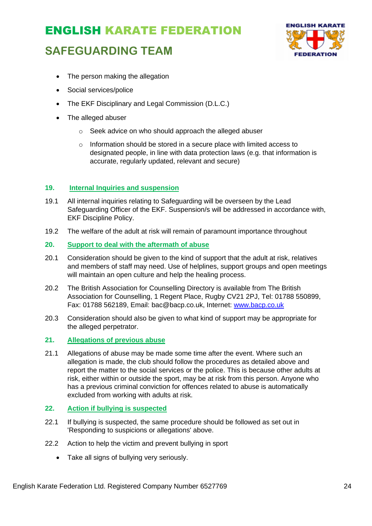### **SAFEGUARDING TEAM**



- The person making the allegation
- Social services/police
- The EKF Disciplinary and Legal Commission (D.L.C.)
- The alleged abuser
	- o Seek advice on who should approach the alleged abuser
	- o Information should be stored in a secure place with limited access to designated people, in line with data protection laws (e.g. that information is accurate, regularly updated, relevant and secure)

#### **19. Internal Inquiries and suspension**

- 19.1 All internal inquiries relating to Safeguarding will be overseen by the Lead Safeguarding Officer of the EKF. Suspension/s will be addressed in accordance with, EKF Discipline Policy.
- 19.2 The welfare of the adult at risk will remain of paramount importance throughout

#### **20. Support to deal with the aftermath of abuse**

- 20.1 Consideration should be given to the kind of support that the adult at risk, relatives and members of staff may need. Use of helplines, support groups and open meetings will maintain an open culture and help the healing process.
- 20.2 The British Association for Counselling Directory is available from The British Association for Counselling, 1 Regent Place, Rugby CV21 2PJ, Tel: 01788 550899, Fax: 01788 562189, Email: bac@bacp.co.uk, Internet: [www.bacp.co.uk](about:blank)
- 20.3 Consideration should also be given to what kind of support may be appropriate for the alleged perpetrator.

#### **21. Allegations of previous abuse**

21.1 Allegations of abuse may be made some time after the event. Where such an allegation is made, the club should follow the procedures as detailed above and report the matter to the social services or the police. This is because other adults at risk, either within or outside the sport, may be at risk from this person. Anyone who has a previous criminal conviction for offences related to abuse is automatically excluded from working with adults at risk.

#### **22. Action if bullying is suspected**

- 22.1 If bullying is suspected, the same procedure should be followed as set out in 'Responding to suspicions or allegations' above.
- 22.2 Action to help the victim and prevent bullying in sport
	- Take all signs of bullying very seriously.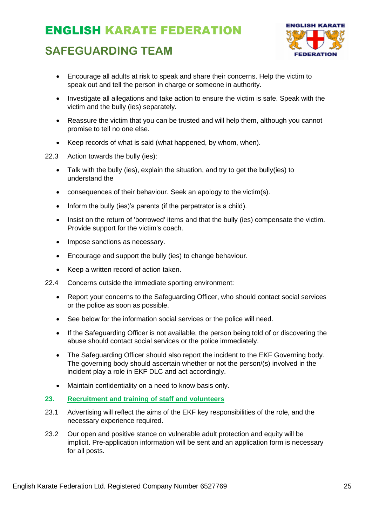### **SAFEGUARDING TEAM**



- Encourage all adults at risk to speak and share their concerns. Help the victim to speak out and tell the person in charge or someone in authority.
- Investigate all allegations and take action to ensure the victim is safe. Speak with the victim and the bully (ies) separately.
- Reassure the victim that you can be trusted and will help them, although you cannot promise to tell no one else.
- Keep records of what is said (what happened, by whom, when).
- 22.3 Action towards the bully (ies):
	- Talk with the bully (ies), explain the situation, and try to get the bully(ies) to understand the
	- consequences of their behaviour. Seek an apology to the victim(s).
	- Inform the bully (ies)'s parents (if the perpetrator is a child).
	- Insist on the return of 'borrowed' items and that the bully (ies) compensate the victim. Provide support for the victim's coach.
	- Impose sanctions as necessary.
	- Encourage and support the bully (ies) to change behaviour.
	- Keep a written record of action taken.
- 22.4 Concerns outside the immediate sporting environment:
	- Report your concerns to the Safeguarding Officer, who should contact social services or the police as soon as possible.
	- See below for the information social services or the police will need.
	- If the Safeguarding Officer is not available, the person being told of or discovering the abuse should contact social services or the police immediately.
	- The Safeguarding Officer should also report the incident to the EKF Governing body. The governing body should ascertain whether or not the person/(s) involved in the incident play a role in EKF DLC and act accordingly.
	- Maintain confidentiality on a need to know basis only.

#### **23. Recruitment and training of staff and volunteers**

- 23.1 Advertising will reflect the aims of the EKF key responsibilities of the role, and the necessary experience required.
- 23.2 Our open and positive stance on vulnerable adult protection and equity will be implicit. Pre-application information will be sent and an application form is necessary for all posts.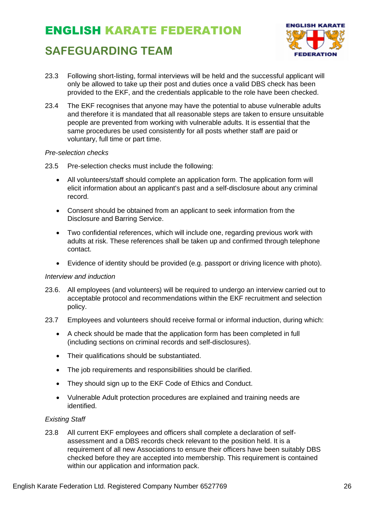

### **SAFEGUARDING TEAM**

- 23.3 Following short-listing, formal interviews will be held and the successful applicant will only be allowed to take up their post and duties once a valid DBS check has been provided to the EKF, and the credentials applicable to the role have been checked.
- 23.4 The EKF recognises that anyone may have the potential to abuse vulnerable adults and therefore it is mandated that all reasonable steps are taken to ensure unsuitable people are prevented from working with vulnerable adults. It is essential that the same procedures be used consistently for all posts whether staff are paid or voluntary, full time or part time.

#### *Pre-selection checks*

- 23.5 Pre-selection checks must include the following:
	- All volunteers/staff should complete an application form. The application form will elicit information about an applicant's past and a self-disclosure about any criminal record.
	- Consent should be obtained from an applicant to seek information from the Disclosure and Barring Service.
	- Two confidential references, which will include one, regarding previous work with adults at risk. These references shall be taken up and confirmed through telephone contact.
	- Evidence of identity should be provided (e.g. passport or driving licence with photo).

#### *Interview and induction*

- 23.6. All employees (and volunteers) will be required to undergo an interview carried out to acceptable protocol and recommendations within the EKF recruitment and selection policy.
- 23.7 Employees and volunteers should receive formal or informal induction, during which:
	- A check should be made that the application form has been completed in full (including sections on criminal records and self-disclosures).
	- Their qualifications should be substantiated.
	- The job requirements and responsibilities should be clarified.
	- They should sign up to the EKF Code of Ethics and Conduct.
	- Vulnerable Adult protection procedures are explained and training needs are identified.

#### *Existing Staff*

23.8 All current EKF employees and officers shall complete a declaration of selfassessment and a DBS records check relevant to the position held. It is a requirement of all new Associations to ensure their officers have been suitably DBS checked before they are accepted into membership. This requirement is contained within our application and information pack.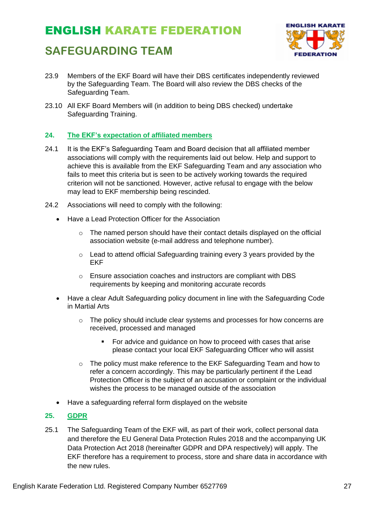### **SAFEGUARDING TEAM**



- 23.9 Members of the EKF Board will have their DBS certificates independently reviewed by the Safeguarding Team. The Board will also review the DBS checks of the Safeguarding Team.
- 23.10 All EKF Board Members will (in addition to being DBS checked) undertake Safeguarding Training.

#### **24. The EKF's expectation of affiliated members**

- 24.1 It is the EKF's Safeguarding Team and Board decision that all affiliated member associations will comply with the requirements laid out below. Help and support to achieve this is available from the EKF Safeguarding Team and any association who fails to meet this criteria but is seen to be actively working towards the required criterion will not be sanctioned. However, active refusal to engage with the below may lead to EKF membership being rescinded.
- 24.2 Associations will need to comply with the following:
	- Have a Lead Protection Officer for the Association
		- $\circ$  The named person should have their contact details displayed on the official association website (e-mail address and telephone number).
		- o Lead to attend official Safeguarding training every 3 years provided by the EKF
		- o Ensure association coaches and instructors are compliant with DBS requirements by keeping and monitoring accurate records
	- Have a clear Adult Safeguarding policy document in line with the Safeguarding Code in Martial Arts
		- o The policy should include clear systems and processes for how concerns are received, processed and managed
			- For advice and guidance on how to proceed with cases that arise please contact your local EKF Safeguarding Officer who will assist
		- o The policy must make reference to the EKF Safeguarding Team and how to refer a concern accordingly. This may be particularly pertinent if the Lead Protection Officer is the subject of an accusation or complaint or the individual wishes the process to be managed outside of the association
	- Have a safeguarding referral form displayed on the website

#### **25. GDPR**

25.1 The Safeguarding Team of the EKF will, as part of their work, collect personal data and therefore the EU General Data Protection Rules 2018 and the accompanying UK Data Protection Act 2018 (hereinafter GDPR and DPA respectively) will apply. The EKF therefore has a requirement to process, store and share data in accordance with the new rules.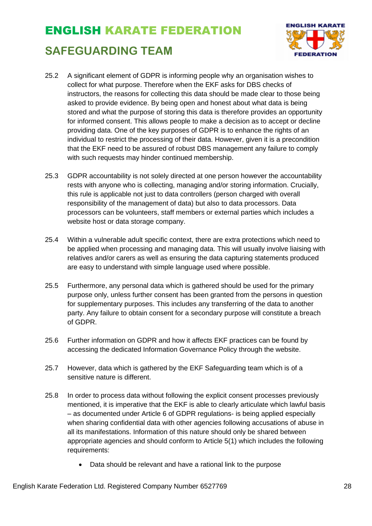## ENGLISH KARATE FEDERATION **SAFEGUARDING TEAM**



- 25.2 A significant element of GDPR is informing people why an organisation wishes to collect for what purpose. Therefore when the EKF asks for DBS checks of instructors, the reasons for collecting this data should be made clear to those being asked to provide evidence. By being open and honest about what data is being stored and what the purpose of storing this data is therefore provides an opportunity for informed consent. This allows people to make a decision as to accept or decline providing data. One of the key purposes of GDPR is to enhance the rights of an individual to restrict the processing of their data. However, given it is a precondition that the EKF need to be assured of robust DBS management any failure to comply with such requests may hinder continued membership.
- 25.3 GDPR accountability is not solely directed at one person however the accountability rests with anyone who is collecting, managing and/or storing information. Crucially, this rule is applicable not just to data controllers (person charged with overall responsibility of the management of data) but also to data processors. Data processors can be volunteers, staff members or external parties which includes a website host or data storage company.
- 25.4 Within a vulnerable adult specific context, there are extra protections which need to be applied when processing and managing data. This will usually involve liaising with relatives and/or carers as well as ensuring the data capturing statements produced are easy to understand with simple language used where possible.
- 25.5 Furthermore, any personal data which is gathered should be used for the primary purpose only, unless further consent has been granted from the persons in question for supplementary purposes. This includes any transferring of the data to another party. Any failure to obtain consent for a secondary purpose will constitute a breach of GDPR.
- 25.6 Further information on GDPR and how it affects EKF practices can be found by accessing the dedicated Information Governance Policy through the website.
- 25.7 However, data which is gathered by the EKF Safeguarding team which is of a sensitive nature is different.
- 25.8 In order to process data without following the explicit consent processes previously mentioned, it is imperative that the EKF is able to clearly articulate which lawful basis – as documented under Article 6 of GDPR regulations- is being applied especially when sharing confidential data with other agencies following accusations of abuse in all its manifestations. Information of this nature should only be shared between appropriate agencies and should conform to Article 5(1) which includes the following requirements:
	- Data should be relevant and have a rational link to the purpose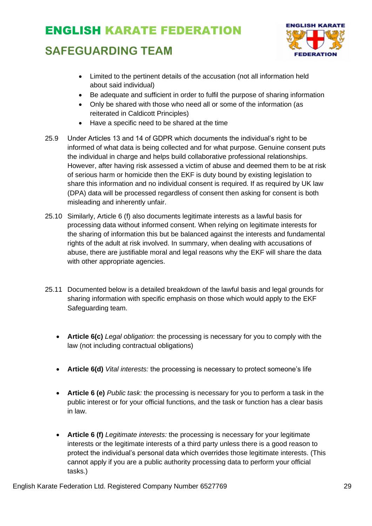### **SAFEGUARDING TEAM**



- Limited to the pertinent details of the accusation (not all information held about said individual)
- Be adequate and sufficient in order to fulfil the purpose of sharing information
- Only be shared with those who need all or some of the information (as reiterated in Caldicott Principles)
- Have a specific need to be shared at the time
- 25.9 Under Articles 13 and 14 of GDPR which documents the individual's right to be informed of what data is being collected and for what purpose. Genuine consent puts the individual in charge and helps build collaborative professional relationships. However, after having risk assessed a victim of abuse and deemed them to be at risk of serious harm or homicide then the EKF is duty bound by existing legislation to share this information and no individual consent is required. If as required by UK law (DPA) data will be processed regardless of consent then asking for consent is both misleading and inherently unfair.
- 25.10 Similarly, Article 6 (f) also documents legitimate interests as a lawful basis for processing data without informed consent. When relying on legitimate interests for the sharing of information this but be balanced against the interests and fundamental rights of the adult at risk involved. In summary, when dealing with accusations of abuse, there are justifiable moral and legal reasons why the EKF will share the data with other appropriate agencies.
- 25.11 Documented below is a detailed breakdown of the lawful basis and legal grounds for sharing information with specific emphasis on those which would apply to the EKF Safeguarding team.
	- **Article 6(c)** *Legal obligation*: the processing is necessary for you to comply with the law (not including contractual obligations)
	- **Article 6(d)** *Vital interests:* the processing is necessary to protect someone's life
	- **Article 6 (e)** *Public task:* the processing is necessary for you to perform a task in the public interest or for your official functions, and the task or function has a clear basis in law.
	- **Article 6 (f)** *Legitimate interests:* the processing is necessary for your legitimate interests or the legitimate interests of a third party unless there is a good reason to protect the individual's personal data which overrides those legitimate interests. (This cannot apply if you are a public authority processing data to perform your official tasks.)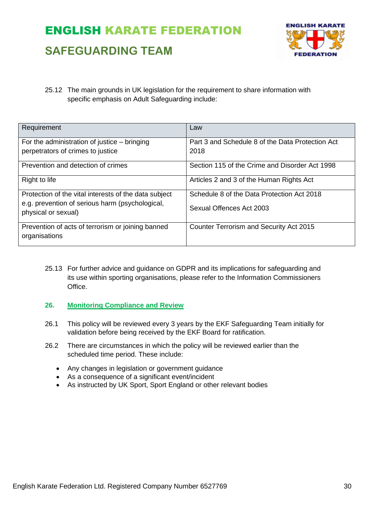### **SAFEGUARDING TEAM**



25.12 The main grounds in UK legislation for the requirement to share information with specific emphasis on Adult Safeguarding include:

| Requirement                                                                                                                     | Law                                                                    |
|---------------------------------------------------------------------------------------------------------------------------------|------------------------------------------------------------------------|
| For the administration of justice $-$ bringing<br>perpetrators of crimes to justice                                             | Part 3 and Schedule 8 of the Data Protection Act<br>2018               |
| Prevention and detection of crimes                                                                                              | Section 115 of the Crime and Disorder Act 1998                         |
| Right to life                                                                                                                   | Articles 2 and 3 of the Human Rights Act                               |
| Protection of the vital interests of the data subject<br>e.g. prevention of serious harm (psychological,<br>physical or sexual) | Schedule 8 of the Data Protection Act 2018<br>Sexual Offences Act 2003 |
| Prevention of acts of terrorism or joining banned<br>organisations                                                              | Counter Terrorism and Security Act 2015                                |

- 25.13 For further advice and guidance on GDPR and its implications for safeguarding and its use within sporting organisations, please refer to the Information Commissioners Office.
- **26. Monitoring Compliance and Review**
- 26.1 This policy will be reviewed every 3 years by the EKF Safeguarding Team initially for validation before being received by the EKF Board for ratification.
- 26.2 There are circumstances in which the policy will be reviewed earlier than the scheduled time period. These include:
	- Any changes in legislation or government guidance
	- As a consequence of a significant event/incident
	- As instructed by UK Sport, Sport England or other relevant bodies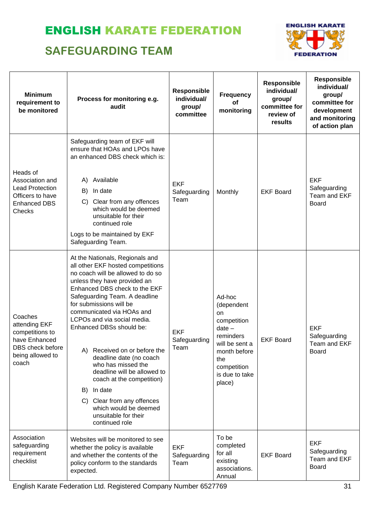### **SAFEGUARDING TEAM**



| <b>Minimum</b><br>requirement to<br>be monitored                                                              | Process for monitoring e.g.<br>audit                                                                                                                                                                                                                                                                                                                                                                                                                                                                                                                                                             | <b>Responsible</b><br>individual/<br>group/<br>committee | <b>Frequency</b><br>of<br>monitoring                                                                                                                   | Responsible<br>individual/<br>group/<br>committee for<br>review of<br>results | <b>Responsible</b><br>individual/<br>group/<br>committee for<br>development<br>and monitoring<br>of action plan |
|---------------------------------------------------------------------------------------------------------------|--------------------------------------------------------------------------------------------------------------------------------------------------------------------------------------------------------------------------------------------------------------------------------------------------------------------------------------------------------------------------------------------------------------------------------------------------------------------------------------------------------------------------------------------------------------------------------------------------|----------------------------------------------------------|--------------------------------------------------------------------------------------------------------------------------------------------------------|-------------------------------------------------------------------------------|-----------------------------------------------------------------------------------------------------------------|
| Heads of<br>Association and<br><b>Lead Protection</b><br>Officers to have<br><b>Enhanced DBS</b><br>Checks    | Safeguarding team of EKF will<br>ensure that HOAs and LPOs have<br>an enhanced DBS check which is:<br>Available<br>A)<br>In date<br>B)<br>C) Clear from any offences<br>which would be deemed<br>unsuitable for their<br>continued role<br>Logs to be maintained by EKF<br>Safeguarding Team.                                                                                                                                                                                                                                                                                                    | <b>EKF</b><br>Safeguarding<br>Team                       | Monthly                                                                                                                                                | <b>EKF Board</b>                                                              | <b>EKF</b><br>Safeguarding<br>Team and EKF<br><b>Board</b>                                                      |
| Coaches<br>attending EKF<br>competitions to<br>have Enhanced<br>DBS check before<br>being allowed to<br>coach | At the Nationals, Regionals and<br>all other EKF hosted competitions<br>no coach will be allowed to do so<br>unless they have provided an<br>Enhanced DBS check to the EKF<br>Safeguarding Team. A deadline<br>for submissions will be<br>communicated via HOAs and<br>LCPOs and via social media.<br>Enhanced DBSs should be:<br>A) Received on or before the<br>deadline date (no coach<br>who has missed the<br>deadline will be allowed to<br>coach at the competition)<br>In date<br>B)<br>Clear from any offences<br>C)<br>which would be deemed<br>unsuitable for their<br>continued role | <b>EKF</b><br>Safeguarding<br>Team                       | Ad-hoc<br>(dependent<br>on<br>competition<br>$date -$<br>reminders<br>will be sent a<br>month before<br>the<br>competition<br>is due to take<br>place) | <b>EKF Board</b>                                                              | <b>EKF</b><br>Safeguarding<br>Team and EKF<br><b>Board</b>                                                      |
| Association<br>safeguarding<br>requirement<br>checklist                                                       | Websites will be monitored to see<br>whether the policy is available<br>and whether the contents of the<br>policy conform to the standards<br>expected.                                                                                                                                                                                                                                                                                                                                                                                                                                          | <b>EKF</b><br>Safeguarding<br>Team                       | To be<br>completed<br>for all<br>existing<br>associations.<br>Annual                                                                                   | <b>EKF Board</b>                                                              | <b>EKF</b><br>Safeguarding<br>Team and EKF<br><b>Board</b>                                                      |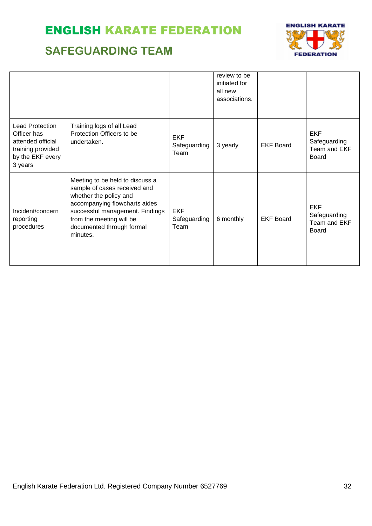### **SAFEGUARDING TEAM**



|                                                                                                         |                                                                                                                                                                                                                                    |                                    | review to be<br>initiated for<br>all new<br>associations. |                  |                                                            |
|---------------------------------------------------------------------------------------------------------|------------------------------------------------------------------------------------------------------------------------------------------------------------------------------------------------------------------------------------|------------------------------------|-----------------------------------------------------------|------------------|------------------------------------------------------------|
| Lead Protection<br>Officer has<br>attended official<br>training provided<br>by the EKF every<br>3 years | Training logs of all Lead<br>Protection Officers to be<br>undertaken.                                                                                                                                                              | <b>EKF</b><br>Safeguarding<br>Team | 3 yearly                                                  | <b>EKF Board</b> | <b>EKF</b><br>Safeguarding<br>Team and EKF<br><b>Board</b> |
| Incident/concern<br>reporting<br>procedures                                                             | Meeting to be held to discuss a<br>sample of cases received and<br>whether the policy and<br>accompanying flowcharts aides<br>successful management. Findings<br>from the meeting will be<br>documented through formal<br>minutes. | <b>EKF</b><br>Safeguarding<br>Team | 6 monthly                                                 | <b>EKF Board</b> | <b>EKF</b><br>Safeguarding<br>Team and EKF<br><b>Board</b> |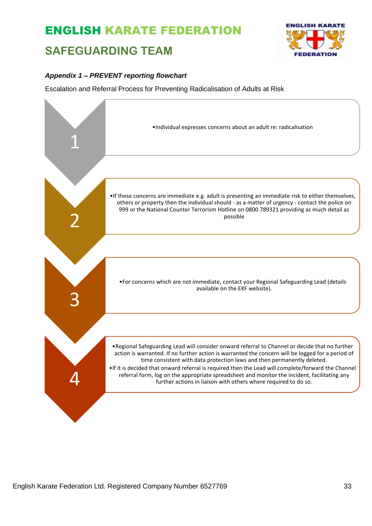### **SAFEGUARDING TEAM**



#### *Appendix 1 – PREVENT reporting flowchart*

Escalation and Referral Process for Preventing Radicalisation of Adults at Risk

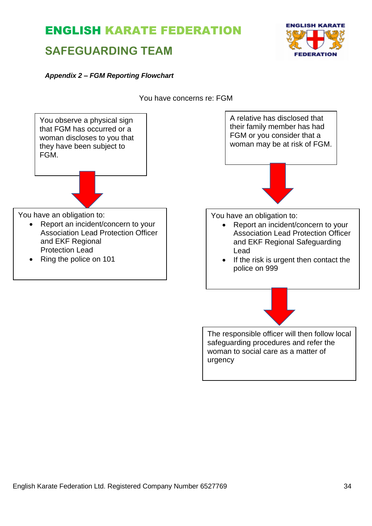### **SAFEGUARDING TEAM**



You have concerns re: FGM



urgency

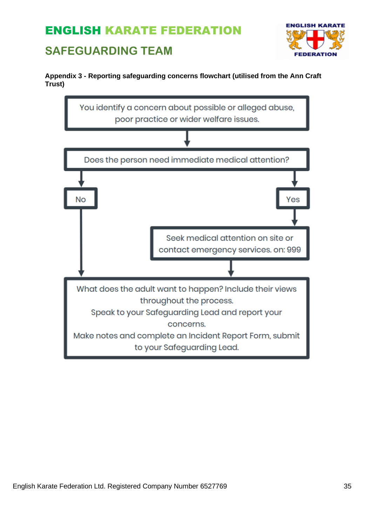### **SAFEGUARDING TEAM**





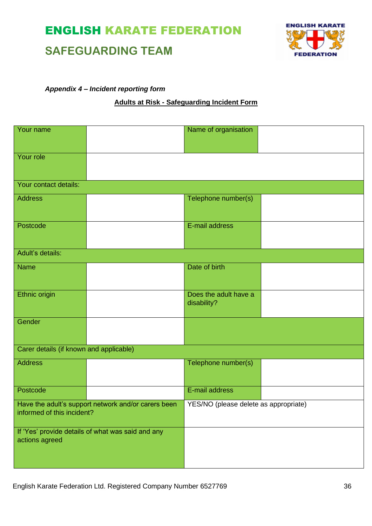### **SAFEGUARDING TEAM**



#### *Appendix 4 – Incident reporting form*

#### **Adults at Risk - Safeguarding Incident Form**

| Your name                               |                                                     | Name of organisation                  |  |
|-----------------------------------------|-----------------------------------------------------|---------------------------------------|--|
|                                         |                                                     |                                       |  |
| Your role                               |                                                     |                                       |  |
|                                         |                                                     |                                       |  |
| Your contact details:                   |                                                     |                                       |  |
| <b>Address</b>                          |                                                     | Telephone number(s)                   |  |
|                                         |                                                     |                                       |  |
| Postcode                                |                                                     | E-mail address                        |  |
|                                         |                                                     |                                       |  |
| Adult's details:                        |                                                     |                                       |  |
| <b>Name</b>                             |                                                     | Date of birth                         |  |
|                                         |                                                     |                                       |  |
| Ethnic origin                           |                                                     | Does the adult have a<br>disability?  |  |
| Gender                                  |                                                     |                                       |  |
|                                         |                                                     |                                       |  |
| Carer details (if known and applicable) |                                                     |                                       |  |
| <b>Address</b>                          |                                                     | Telephone number(s)                   |  |
|                                         |                                                     |                                       |  |
| Postcode                                |                                                     | E-mail address                        |  |
| informed of this incident?              | Have the adult's support network and/or carers been | YES/NO (please delete as appropriate) |  |
|                                         |                                                     |                                       |  |
| actions agreed                          | If 'Yes' provide details of what was said and any   |                                       |  |
|                                         |                                                     |                                       |  |
|                                         |                                                     |                                       |  |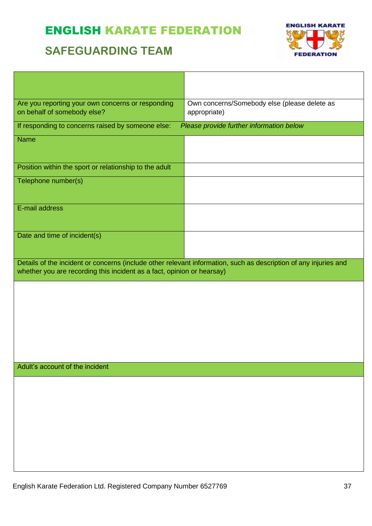### **SAFEGUARDING TEAM**



 $\overline{\phantom{0}}$ 

| Are you reporting your own concerns or responding<br>on behalf of somebody else?                                                                                                           | Own concerns/Somebody else (please delete as<br>appropriate) |  |  |  |
|--------------------------------------------------------------------------------------------------------------------------------------------------------------------------------------------|--------------------------------------------------------------|--|--|--|
| If responding to concerns raised by someone else:                                                                                                                                          | Please provide further information below                     |  |  |  |
| <b>Name</b>                                                                                                                                                                                |                                                              |  |  |  |
| Position within the sport or relationship to the adult                                                                                                                                     |                                                              |  |  |  |
| Telephone number(s)                                                                                                                                                                        |                                                              |  |  |  |
| E-mail address                                                                                                                                                                             |                                                              |  |  |  |
| Date and time of incident(s)                                                                                                                                                               |                                                              |  |  |  |
| Details of the incident or concerns (include other relevant information, such as description of any injuries and<br>whether you are recording this incident as a fact, opinion or hearsay) |                                                              |  |  |  |
|                                                                                                                                                                                            |                                                              |  |  |  |
|                                                                                                                                                                                            |                                                              |  |  |  |
|                                                                                                                                                                                            |                                                              |  |  |  |
|                                                                                                                                                                                            |                                                              |  |  |  |
| Adult's account of the incident                                                                                                                                                            |                                                              |  |  |  |
|                                                                                                                                                                                            |                                                              |  |  |  |
|                                                                                                                                                                                            |                                                              |  |  |  |
|                                                                                                                                                                                            |                                                              |  |  |  |
|                                                                                                                                                                                            |                                                              |  |  |  |
|                                                                                                                                                                                            |                                                              |  |  |  |
|                                                                                                                                                                                            |                                                              |  |  |  |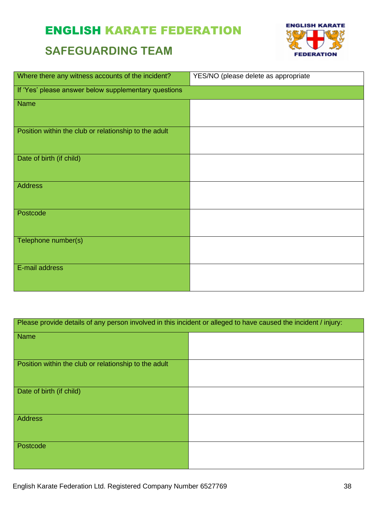### **SAFEGUARDING TEAM**



| Where there any witness accounts of the incident?     | YES/NO (please delete as appropriate |
|-------------------------------------------------------|--------------------------------------|
| If 'Yes' please answer below supplementary questions  |                                      |
| <b>Name</b>                                           |                                      |
| Position within the club or relationship to the adult |                                      |
| Date of birth (if child)                              |                                      |
| <b>Address</b>                                        |                                      |
| Postcode                                              |                                      |
| Telephone number(s)                                   |                                      |
| E-mail address                                        |                                      |

| Please provide details of any person involved in this incident or alleged to have caused the incident / injury: |  |  |  |
|-----------------------------------------------------------------------------------------------------------------|--|--|--|
| <b>Name</b>                                                                                                     |  |  |  |
| Position within the club or relationship to the adult                                                           |  |  |  |
| Date of birth (if child)                                                                                        |  |  |  |
| <b>Address</b>                                                                                                  |  |  |  |
| Postcode                                                                                                        |  |  |  |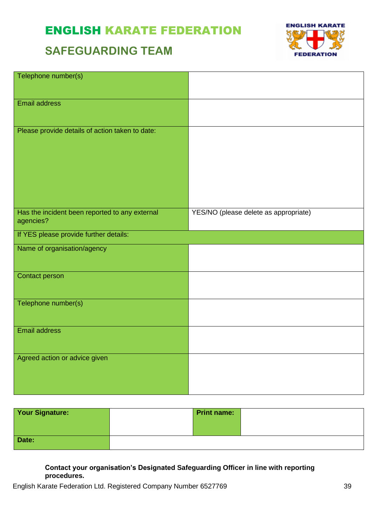### **SAFEGUARDING TEAM**



| Telephone number(s)                                         |                                       |
|-------------------------------------------------------------|---------------------------------------|
| Email address                                               |                                       |
| Please provide details of action taken to date:             |                                       |
| Has the incident been reported to any external<br>agencies? | YES/NO (please delete as appropriate) |
| If YES please provide further details:                      |                                       |
| Name of organisation/agency                                 |                                       |
| <b>Contact person</b>                                       |                                       |
| Telephone number(s)                                         |                                       |
| <b>Email address</b>                                        |                                       |
| Agreed action or advice given                               |                                       |

| <b>Your Signature:</b> | <b>Print name:</b> |  |
|------------------------|--------------------|--|
|                        |                    |  |
|                        |                    |  |
| Date:                  |                    |  |

#### **Contact your organisation's Designated Safeguarding Officer in line with reporting procedures.**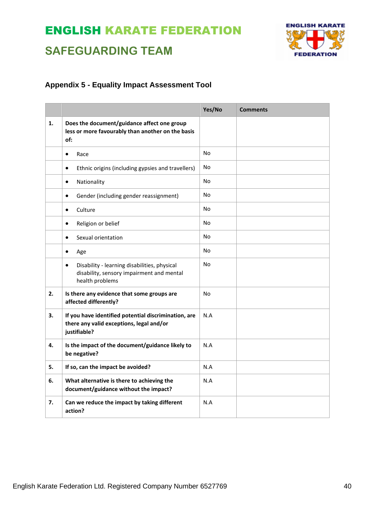## **ENGLISH KARATE FEDERATION**

## **SAFEGUARDING TEAM**

#### **Appendix 5 - Equality Impact Assessment Tool**

|    |                                                                                                                           | Yes/No    | <b>Comments</b> |
|----|---------------------------------------------------------------------------------------------------------------------------|-----------|-----------------|
| 1. | Does the document/guidance affect one group<br>less or more favourably than another on the basis<br>of:                   |           |                 |
|    | Race<br>$\bullet$                                                                                                         | No        |                 |
|    | Ethnic origins (including gypsies and travellers)<br>$\bullet$                                                            | No        |                 |
|    | Nationality<br>$\bullet$                                                                                                  | No        |                 |
|    | Gender (including gender reassignment)<br>$\bullet$                                                                       | No        |                 |
|    | Culture<br>$\bullet$                                                                                                      | No        |                 |
|    | Religion or belief<br>$\bullet$                                                                                           | No        |                 |
|    | Sexual orientation<br>$\bullet$                                                                                           | <b>No</b> |                 |
|    | $\bullet$<br>Age                                                                                                          | No        |                 |
|    | Disability - learning disabilities, physical<br>$\bullet$<br>disability, sensory impairment and mental<br>health problems | No        |                 |
| 2. | Is there any evidence that some groups are<br>affected differently?                                                       | No        |                 |
| 3. | If you have identified potential discrimination, are<br>there any valid exceptions, legal and/or<br>justifiable?          | N.A       |                 |
| 4. | Is the impact of the document/guidance likely to<br>be negative?                                                          | N.A       |                 |
| 5. | If so, can the impact be avoided?                                                                                         | N.A       |                 |
| 6. | What alternative is there to achieving the<br>document/guidance without the impact?                                       | N.A       |                 |
| 7. | Can we reduce the impact by taking different<br>action?                                                                   | N.A       |                 |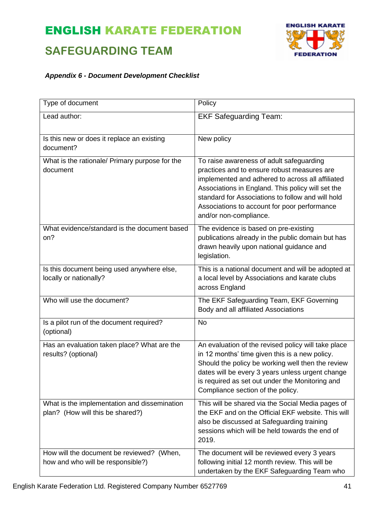### **SAFEGUARDING TEAM**



#### *Appendix 6 - Document Development Checklist*

| Type of document                                                                 | Policy                                                                                                                                                                                                                                                                                                                          |
|----------------------------------------------------------------------------------|---------------------------------------------------------------------------------------------------------------------------------------------------------------------------------------------------------------------------------------------------------------------------------------------------------------------------------|
| Lead author:                                                                     | <b>EKF Safeguarding Team:</b>                                                                                                                                                                                                                                                                                                   |
| Is this new or does it replace an existing<br>document?                          | New policy                                                                                                                                                                                                                                                                                                                      |
| What is the rationale/ Primary purpose for the<br>document                       | To raise awareness of adult safeguarding<br>practices and to ensure robust measures are<br>implemented and adhered to across all affiliated<br>Associations in England. This policy will set the<br>standard for Associations to follow and will hold<br>Associations to account for poor performance<br>and/or non-compliance. |
| What evidence/standard is the document based<br>on?                              | The evidence is based on pre-existing<br>publications already in the public domain but has<br>drawn heavily upon national guidance and<br>legislation.                                                                                                                                                                          |
| Is this document being used anywhere else,<br>locally or nationally?             | This is a national document and will be adopted at<br>a local level by Associations and karate clubs<br>across England                                                                                                                                                                                                          |
| Who will use the document?                                                       | The EKF Safeguarding Team, EKF Governing<br>Body and all affiliated Associations                                                                                                                                                                                                                                                |
| Is a pilot run of the document required?<br>(optional)                           | <b>No</b>                                                                                                                                                                                                                                                                                                                       |
| Has an evaluation taken place? What are the<br>results? (optional)               | An evaluation of the revised policy will take place<br>in 12 months' time given this is a new policy.<br>Should the policy be working well then the review<br>dates will be every 3 years unless urgent change<br>is required as set out under the Monitoring and<br>Compliance section of the policy.                          |
| What is the implementation and dissemination<br>plan? (How will this be shared?) | This will be shared via the Social Media pages of<br>the EKF and on the Official EKF website. This will<br>also be discussed at Safeguarding training<br>sessions which will be held towards the end of<br>2019.                                                                                                                |
| How will the document be reviewed? (When,<br>how and who will be responsible?)   | The document will be reviewed every 3 years<br>following initial 12 month review. This will be<br>undertaken by the EKF Safeguarding Team who                                                                                                                                                                                   |